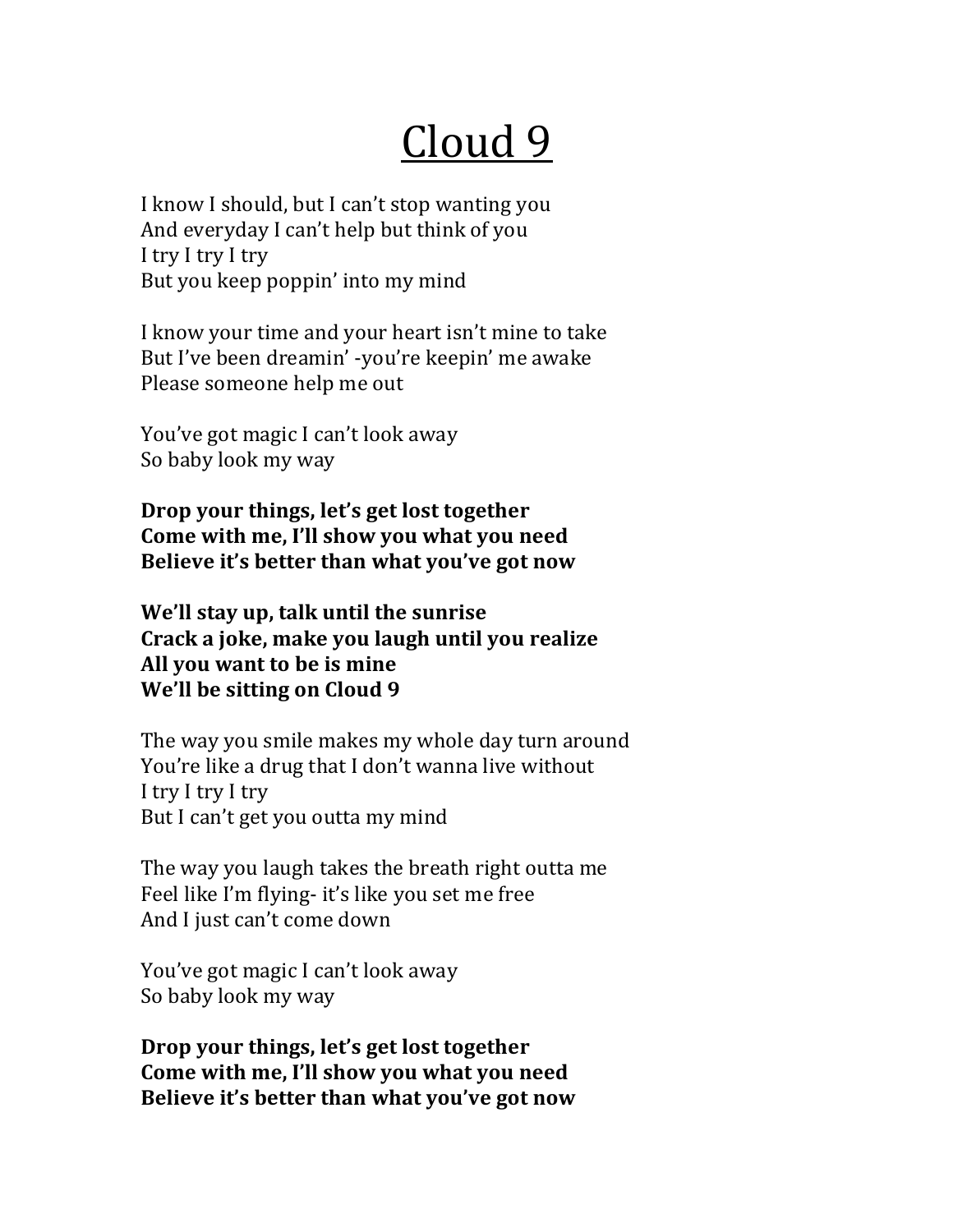## Cloud 9

I know I should, but I can't stop wanting you And everyday I can't help but think of you I try I try I try But you keep poppin' into my mind

I know your time and your heart isn't mine to take But I've been dreamin' -you're keepin' me awake Please someone help me out

You've got magic I can't look away So baby look my way

**Drop** your things, let's get lost together Come with me, I'll show you what you need Believe it's better than what you've got now

**We'll stay up, talk until the sunrise** Crack a joke, make you laugh until you realize All you want to be is mine **We'll be sitting on Cloud 9** 

The way you smile makes my whole day turn around You're like a drug that I don't wanna live without I try I try I try But I can't get you outta my mind

The way you laugh takes the breath right outta me Feel like I'm flying- it's like you set me free And I just can't come down

You've got magic I can't look away So baby look my way

**Drop your things, let's get lost together** Come with me, I'll show you what you need **Believe it's better than what you've got now**